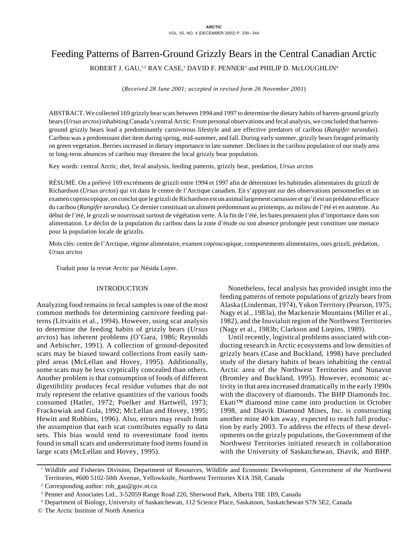# Feeding Patterns of Barren-Ground Grizzly Bears in the Central Canadian Arctic

ROBERT J. GAU,<sup>1,2</sup> RAY CASE,<sup>1</sup> DAVID F. PENNER<sup>3</sup> and PHILIP D. McLOUGHLIN<sup>4</sup>

(*Received 28 June 2001; accepted in revised form 26 November 2001*)

ABSTRACT. We collected 169 grizzly bear scats between 1994 and 1997 to determine the dietary habits of barren-ground grizzly bears (*Ursus arctos*) inhabiting Canada's central Arctic. From personal observations and fecal analysis, we concluded that barrenground grizzly bears lead a predominantly carnivorous lifestyle and are effective predators of caribou (*Rangifer tarandus*). Caribou was a predominant diet item during spring, mid-summer, and fall. During early summer, grizzly bears foraged primarily on green vegetation. Berries increased in dietary importance in late summer. Declines in the caribou population of our study area or long-term absences of caribou may threaten the local grizzly bear population.

Key words: central Arctic, diet, fecal analysis, feeding patterns, grizzly bear, predation, *Ursus arctos*

RÉSUMÉ. On a prélevé 169 excréments de grizzli entre 1994 et 1997 afin de déterminer les habitudes alimentaires du grizzli de Richardson (*Ursus arctos*) qui vit dans le centre de l'Arctique canadien. En s'appuyant sur des observations personnelles et un examen coproscopique, on conclut que le grizzli de Richardson est un animal largement carnassier et qu'il est un prédateur efficace du caribou (*Rangifer tarandus*). Ce dernier constituait un aliment prédominant au printemps, au milieu de l'été et en automne. Au début de l'été, le grizzli se nourrissait surtout de végétation verte. À la fin de l'été, les baies prenaient plus d'importance dans son alimentation. Le déclin de la population du caribou dans la zone d'étude ou son absence prolongée peut constituer une menace pour la population locale de grizzlis.

Mots clés: centre de l'Arctique, régime alimentaire, examen coproscopique, comportements alimentaires, ours grizzli, prédation, *Ursus arctos*

Traduit pour la revue *Arctic* par Nésida Loyer.

## INTRODUCTION

Analyzing food remains in fecal samples is one of the most common methods for determining carnivore feeding patterns (Litvaitis et al., 1994). However, using scat analysis to determine the feeding habits of grizzly bears (*Ursus arctos*) has inherent problems (O'Gara, 1986; Reynolds and Aebischer, 1991). A collection of ground-deposited scats may be biased toward collections from easily sampled areas (McLellan and Hovey, 1995). Additionally, some scats may be less cryptically concealed than others. Another problem is that consumption of foods of different digestibility produces fecal residue volumes that do not truly represent the relative quantities of the various foods consumed (Hatler, 1972; Poelker and Hartwell, 1973; Frackowiak and Gula, 1992; McLellan and Hovey, 1995; Hewitt and Robbins, 1996). Also, errors may result from the assumption that each scat contributes equally to data sets. This bias would tend to overestimate food items found in small scats and underestimate food items found in large scats (McLellan and Hovey, 1995).

Nonetheless, fecal analysis has provided insight into the feeding patterns of remote populations of grizzly bears from Alaska (Linderman, 1974), Yukon Territory (Pearson, 1975; Nagy et al., 1983a), the Mackenzie Mountains (Miller et al., 1982), and the Inuvialuit region of the Northwest Territories (Nagy et al., 1983b; Clarkson and Liepins, 1989).

Until recently, logistical problems associated with conducting research in Arctic ecosystems and low densities of grizzly bears (Case and Buckland, 1998) have precluded study of the dietary habits of bears inhabiting the central Arctic area of the Northwest Territories and Nunavut (Bromley and Buckland, 1995). However, economic activity in that area increased dramatically in the early 1990s with the discovery of diamonds. The BHP Diamonds Inc. Ekati™ diamond mine came into production in October 1998, and Diavik Diamond Mines, Inc. is constructing another mine 40 km away, expected to reach full production by early 2003. To address the effects of these developments on the grizzly populations, the Government of the Northwest Territories initiated research in collaboration with the University of Saskatchewan, Diavik, and BHP.

<sup>&</sup>lt;sup>1</sup> Wildlife and Fisheries Division, Department of Resources, Wildlife and Economic Development, Government of the Northwest Territories, #600 5102-50th Avenue, Yellowknife, Northwest Territories X1A 3S8, Canada

<sup>2</sup> Corresponding author: rob\_gau@gov.nt.ca

<sup>3</sup> Penner and Associates Ltd., 3-52059 Range Road 220, Sherwood Park, Alberta T8E 1B9, Canada

<sup>4</sup> Department of Biology, University of Saskatchewan, 112 Science Place, Saskatoon, Saskatchewan S7N 5E2, Canada

<sup>©</sup> The Arctic Institute of North America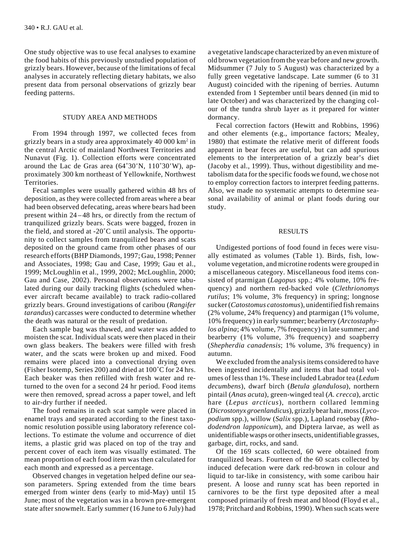One study objective was to use fecal analyses to examine the food habits of this previously unstudied population of grizzly bears. However, because of the limitations of fecal analyses in accurately reflecting dietary habitats, we also present data from personal observations of grizzly bear feeding patterns.

# STUDY AREA AND METHODS

From 1994 through 1997, we collected feces from grizzly bears in a study area approximately 40 000 km2 in the central Arctic of mainland Northwest Territories and Nunavut (Fig. 1). Collection efforts were concentrated around the Lac de Gras area (64˚30*'*N, 110˚30*'*W), approximately 300 km northeast of Yellowknife, Northwest Territories.

Fecal samples were usually gathered within 48 hrs of deposition, as they were collected from areas where a bear had been observed defecating, areas where bears had been present within 24–48 hrs, or directly from the rectum of tranquilized grizzly bears. Scats were bagged, frozen in the field, and stored at -20˚C until analysis. The opportunity to collect samples from tranquilized bears and scats deposited on the ground came from other phases of our research efforts (BHP Diamonds, 1997; Gau, 1998; Penner and Associates, 1998; Gau and Case, 1999; Gau et al., 1999; McLoughlin et al., 1999, 2002; McLoughlin, 2000; Gau and Case, 2002). Personal observations were tabulated during our daily tracking flights (scheduled whenever aircraft became available) to track radio-collared grizzly bears. Ground investigations of caribou (*Rangifer tarandus*) carcasses were conducted to determine whether the death was natural or the result of predation.

Each sample bag was thawed, and water was added to moisten the scat. Individual scats were then placed in their own glass beakers. The beakers were filled with fresh water, and the scats were broken up and mixed. Food remains were placed into a convectional drying oven (Fisher Isotemp, Series 200) and dried at 100˚C for 24 hrs. Each beaker was then refilled with fresh water and returned to the oven for a second 24 hr period. Food items were then removed, spread across a paper towel, and left to air-dry further if needed.

The food remains in each scat sample were placed in enamel trays and separated according to the finest taxonomic resolution possible using laboratory reference collections. To estimate the volume and occurrence of diet items, a plastic grid was placed on top of the tray and percent cover of each item was visually estimated. The mean proportion of each food item was then calculated for each month and expressed as a percentage.

Observed changes in vegetation helped define our season parameters. Spring extended from the time bears emerged from winter dens (early to mid-May) until 15 June; most of the vegetation was in a brown pre-emergent state after snowmelt. Early summer (16 June to 6 July) had a vegetative landscape characterized by an even mixture of old brown vegetation from the year before and new growth. Midsummer (7 July to 5 August) was characterized by a fully green vegetative landscape. Late summer (6 to 31 August) coincided with the ripening of berries. Autumn extended from 1 September until bears denned (in mid to late October) and was characterized by the changing colour of the tundra shrub layer as it prepared for winter dormancy.

Fecal correction factors (Hewitt and Robbins, 1996) and other elements (e.g., importance factors; Mealey, 1980) that estimate the relative merit of different foods apparent in bear feces are useful, but can add spurious elements to the interpretation of a grizzly bear's diet (Jacoby et al., 1999). Thus, without digestibility and metabolism data for the specific foods we found, we chose not to employ correction factors to interpret feeding patterns. Also, we made no systematic attempts to determine seasonal availability of animal or plant foods during our study.

# RESULTS

Undigested portions of food found in feces were visually estimated as volumes (Table 1). Birds, fish, lowvolume vegetation, and microtine rodents were grouped in a miscellaneous category. Miscellaneous food items consisted of ptarmigan (*Lagopus* spp.; 4% volume, 10% frequency) and northern red-backed vole (*Clethrionomys rutilus*; 1% volume, 3% frequency) in spring; longnose sucker (*Catostomus catostomus*), unidentified fish remains (2% volume, 24% frequency) and ptarmigan (1% volume, 10% frequency) in early summer; bearberry (*Arctostaphylos alpina*; 4% volume, 7% frequency) in late summer; and bearberry (1% volume, 3% frequency) and soapberry (*Shepherdia canadensis*; 1% volume, 3% frequency) in autumn.

We excluded from the analysis items considered to have been ingested incidentally and items that had total volumes of less than 1%. These included Labrador tea (*Ledum decumbens*), dwarf birch (*Betula glandulosa*), northern pintail (*Anas acuta*), green-winged teal (*A. crecca*), arctic hare (*Lepus arcticus*), northern collared lemming (*Dicrostonyx groenlandicus*), grizzly bear hair, moss (*Lycopodium* spp.), willow (*Salix* spp.), Lapland rosebay (*Rhododendron lapponicum*), and Diptera larvae, as well as unidentifiable wasps or other insects, unidentifiable grasses, garbage, dirt, rocks, and sand.

Of the 169 scats collected, 60 were obtained from tranquilized bears. Fourteen of the 60 scats collected by induced defecation were dark red-brown in colour and liquid to tar-like in consistency, with some caribou hair present. A loose and runny scat has been reported in carnivores to be the first type deposited after a meal composed primarily of fresh meat and blood (Floyd et al., 1978; Pritchard and Robbins, 1990). When such scats were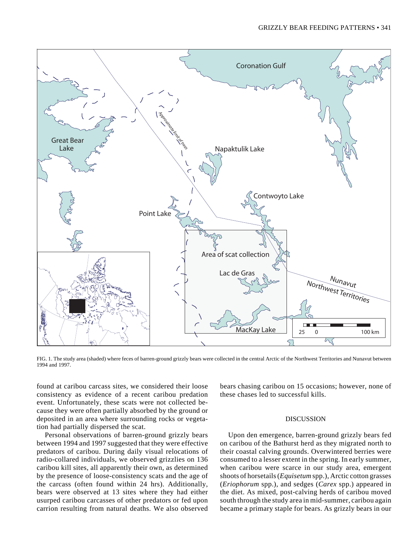

FIG. 1. The study area (shaded) where feces of barren-ground grizzly bears were collected in the central Arctic of the Northwest Territories and Nunavut between 1994 and 1997.

found at caribou carcass sites, we considered their loose consistency as evidence of a recent caribou predation event. Unfortunately, these scats were not collected because they were often partially absorbed by the ground or deposited in an area where surrounding rocks or vegetation had partially dispersed the scat.

Personal observations of barren-ground grizzly bears between 1994 and 1997 suggested that they were effective predators of caribou. During daily visual relocations of radio-collared individuals, we observed grizzlies on 136 caribou kill sites, all apparently their own, as determined by the presence of loose-consistency scats and the age of the carcass (often found within 24 hrs). Additionally, bears were observed at 13 sites where they had either usurped caribou carcasses of other predators or fed upon carrion resulting from natural deaths. We also observed

bears chasing caribou on 15 occasions; however, none of these chases led to successful kills.

# DISCUSSION

Upon den emergence, barren-ground grizzly bears fed on caribou of the Bathurst herd as they migrated north to their coastal calving grounds. Overwintered berries were consumed to a lesser extent in the spring. In early summer, when caribou were scarce in our study area, emergent shoots of horsetails (*Equisetum* spp.), Arctic cotton grasses (*Eriophorum* spp.), and sedges (*Carex* spp.) appeared in the diet. As mixed, post-calving herds of caribou moved south through the study area in mid-summer, caribou again became a primary staple for bears. As grizzly bears in our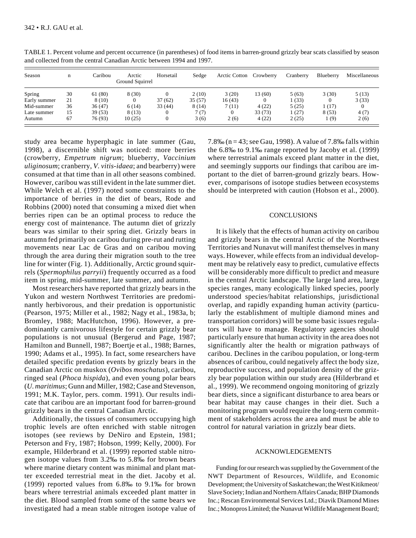| Season       | n  | Caribou | Arctic<br>Ground Squirrel | Horsetail | Sedge  | Arctic Cotton Crowberry |         | Cranberry | Blueberry | Miscellaneous |
|--------------|----|---------|---------------------------|-----------|--------|-------------------------|---------|-----------|-----------|---------------|
| Spring       | 30 | 61 (80) | 8(30)                     |           | 2(10)  | 3(20)                   | 13 (60) | 5(63)     | 3(30)     | 5(13)         |
| Early summer | 21 | 8 (10)  |                           | 37(62)    | 35(57) | 16(43)                  |         | (33)      |           | 3(33)         |
| Mid-summer   | 36 | 36(47)  | 6(14)                     | 33(44)    | 8 (14) | 7 (11)                  | 4(22)   | 5(25)     | 1(17)     |               |
| Late summer  | 15 | 39 (53) | 8 (13)                    |           | 7(7)   |                         | 33 (73) | 1(27)     | 8(53)     | 4(7)          |
| Autumn       | 67 | 76 (93) | 10(25)                    |           | 3(6)   | 2(6)                    | 4(22)   | 2(25)     | (9)       | 2(6)          |

TABLE 1. Percent volume and percent occurrence (in parentheses) of food items in barren-ground grizzly bear scats classified by season and collected from the central Canadian Arctic between 1994 and 1997.

study area became hyperphagic in late summer (Gau, 1998), a discernible shift was noticed: more berries (crowberry, *Empetrum nigrum*; blueberry, *Vaccinium uliginosum*; cranberry, *V. vitis-idaea*; and bearberry) were consumed at that time than in all other seasons combined. However, caribou was still evident in the late summer diet. While Welch et al. (1997) noted some constraints to the importance of berries in the diet of bears, Rode and Robbins (2000) noted that consuming a mixed diet when berries ripen can be an optimal process to reduce the energy cost of maintenance. The autumn diet of grizzly bears was similar to their spring diet. Grizzly bears in autumn fed primarily on caribou during pre-rut and rutting movements near Lac de Gras and on caribou moving through the area during their migration south to the tree line for winter (Fig. 1). Additionally, Arctic ground squirrels (*Spermophilus parryii*) frequently occurred as a food item in spring, mid-summer, late summer, and autumn.

Most researchers have reported that grizzly bears in the Yukon and western Northwest Territories are predominantly herbivorous, and their predation is opportunistic (Pearson, 1975; Miller et al., 1982; Nagy et al., 1983a, b; Bromley, 1988; MacHutchon, 1996). However, a predominantly carnivorous lifestyle for certain grizzly bear populations is not unusual (Bergerud and Page, 1987; Hamilton and Bunnell, 1987; Boertje et al., 1988; Barnes, 1990; Adams et al., 1995). In fact, some researchers have detailed specific predation events by grizzly bears in the Canadian Arctic on muskox (*Ovibos moschatus*), caribou, ringed seal (*Phoca hispida*), and even young polar bears (*U. maritimus*; Gunn and Miller, 1982; Case and Stevenson, 1991; M.K. Taylor, pers. comm. 1991). Our results indicate that caribou are an important food for barren-ground grizzly bears in the central Canadian Arctic.

Additionally, the tissues of consumers occupying high trophic levels are often enriched with stable nitrogen isotopes (see reviews by DeNiro and Epstein, 1981; Peterson and Fry, 1987; Hobson, 1999; Kelly, 2000). For example, Hilderbrand et al. (1999) reported stable nitrogen isotope values from 3.2‰ to 5.8‰ for brown bears where marine dietary content was minimal and plant matter exceeded terrestrial meat in the diet. Jacoby et al. (1999) reported values from 6.8‰ to 9.1‰ for brown bears where terrestrial animals exceeded plant matter in the diet. Blood sampled from some of the same bears we investigated had a mean stable nitrogen isotope value of 7.8‰ (n = 43; see Gau, 1998). A value of 7.8‰ falls within the 6.8‰ to 9.1‰ range reported by Jacoby et al. (1999) where terrestrial animals exceed plant matter in the diet, and seemingly supports our findings that caribou are important to the diet of barren-ground grizzly bears. However, comparisons of isotope studies between ecosystems should be interpreted with caution (Hobson et al., 2000).

## **CONCLUSIONS**

It is likely that the effects of human activity on caribou and grizzly bears in the central Arctic of the Northwest Territories and Nunavut will manifest themselves in many ways. However, while effects from an individual development may be relatively easy to predict, cumulative effects will be considerably more difficult to predict and measure in the central Arctic landscape. The large land area, large species ranges, many ecologically linked species, poorly understood species/habitat relationships, jurisdictional overlap, and rapidly expanding human activity (particularly the establishment of multiple diamond mines and transportation corridors) will be some basic issues regulators will have to manage. Regulatory agencies should particularly ensure that human activity in the area does not significantly alter the health or migration pathways of caribou. Declines in the caribou population, or long-term absences of caribou, could negatively affect the body size, reproductive success, and population density of the grizzly bear population within our study area (Hilderbrand et al., 1999). We recommend ongoing monitoring of grizzly bear diets, since a significant disturbance to area bears or bear habitat may cause changes in their diet. Such a monitoring program would require the long-term commitment of stakeholders across the area and must be able to control for natural variation in grizzly bear diets.

## ACKNOWLEDGEMENTS

Funding for our research was supplied by the Government of the NWT Department of Resources, Wildlife, and Economic Development; the University of Saskatchewan; the West Kitikmeot/ Slave Society; Indian and Northern Affairs Canada; BHP Diamonds Inc.; Rescan Environmental Services Ltd.; Diavik Diamond Mines Inc.; Monopros Limited; the Nunavut Wildlife Management Board;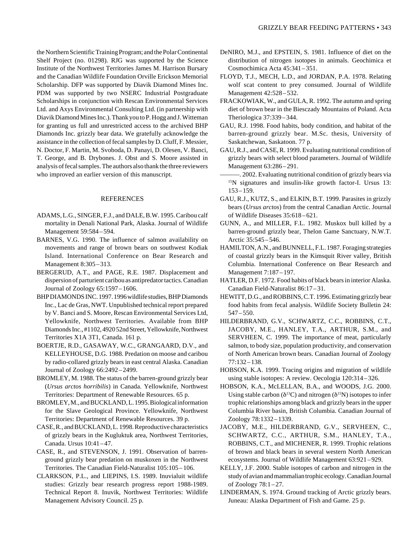the Northern Scientific Training Program; and the Polar Continental Shelf Project (no. 01298). RJG was supported by the Science Institute of the Northwest Territories James M. Harrison Bursary and the Canadian Wildlife Foundation Orville Erickson Memorial Scholarship. DFP was supported by Diavik Diamond Mines Inc. PDM was supported by two NSERC Industrial Postgraduate Scholarships in conjunction with Rescan Environmental Services Ltd. and Axys Environmental Consulting Ltd. (in partnership with Diavik Diamond Mines Inc.). Thank you to P. Hogg and J. Witteman for granting us full and unrestricted access to the archived BHP Diamonds Inc. grizzly bear data. We gratefully acknowledge the assistance in the collection of fecal samples by D. Cluff, F. Messier, N. Doctor, F. Martin, M. Svoboda, D. Panayi, D. Olesen, V. Banci, T. George, and B. Drybones. J. Obst and S. Moore assisted in analysis of fecal samples. The authors also thank the three reviewers who improved an earlier version of this manuscript.

#### REFERENCES

- ADAMS, L.G., SINGER, F.J., and DALE, B.W. 1995. Caribou calf mortality in Denali National Park, Alaska. Journal of Wildlife Management 59:584–594.
- BARNES, V.G. 1990. The influence of salmon availability on movements and range of brown bears on southwest Kodiak Island. International Conference on Bear Research and Management 8:305–313.
- BERGERUD, A.T., and PAGE, R.E. 1987. Displacement and dispersion of parturient caribou as antipredator tactics. Canadian Journal of Zoology 65:1597–1606.
- BHP DIAMONDS INC. 1997. 1996 wildlife studies, BHP Diamonds Inc., Lac de Gras, NWT. Unpublished technical report prepared by V. Banci and S. Moore, Rescan Environmental Services Ltd, Yellowknife, Northwest Territories. Available from BHP Diamonds Inc., #1102, 4920 52nd Street, Yellowknife, Northwest Territories X1A 3T1, Canada. 161 p.
- BOERTJE, R.D., GASAWAY, W.C., GRANGAARD, D.V., and KELLEYHOUSE, D.G. 1988. Predation on moose and caribou by radio-collared grizzly bears in east central Alaska. Canadian Journal of Zoology 66:2492–2499.
- BROMLEY, M. 1988. The status of the barren-ground grizzly bear (*Ursus arctos horribilis*) in Canada. Yellowknife, Northwest Territories: Department of Renewable Resources. 65 p.
- BROMLEY, M., and BUCKLAND, L. 1995. Biological information for the Slave Geological Province. Yellowknife, Northwest Territories: Department of Renewable Resources. 39 p.
- CASE, R., and BUCKLAND, L. 1998. Reproductive characteristics of grizzly bears in the Kugluktuk area, Northwest Territories, Canada. Ursus 10:41–47.
- CASE, R., and STEVENSON, J. 1991. Observation of barrenground grizzly bear predation on muskoxen in the Northwest Territories. The Canadian Field-Naturalist 105:105 – 106.
- CLARKSON, P.L., and LIEPINS, I.S. 1989. Inuvialuit wildlife studies: Grizzly bear research progress report 1988-1989. Technical Report 8. Inuvik, Northwest Territories: Wildlife Management Advisory Council. 25 p.
- DeNIRO, M.J., and EPSTEIN, S. 1981. Influence of diet on the distribution of nitrogen isotopes in animals. Geochimica et Cosmochimica Acta 45:341–351.
- FLOYD, T.J., MECH, L.D., and JORDAN, P.A. 1978. Relating wolf scat content to prey consumed. Journal of Wildlife Management 42:528–532.
- FRACKOWIAK, W., and GULA, R. 1992. The autumn and spring diet of brown bear in the Biesczady Mountains of Poland. Acta Theriologica 37:339–344.
- GAU, R.J. 1998. Food habits, body condition, and habitat of the barren-ground grizzly bear. M.Sc. thesis, University of Saskatchewan, Saskatoon. 77 p.
- GAU, R.J., and CASE, R. 1999. Evaluating nutritional condition of grizzly bears with select blood parameters. Journal of Wildlife Management 63:286–291.
- -. 2002. Evaluating nutritional condition of grizzly bears via 15N signatures and insulin-like growth factor-I. Ursus 13: 153–159.
- GAU, R.J., KUTZ, S., and ELKIN, B.T. 1999. Parasites in grizzly bears (*Ursus arctos*) from the central Canadian Arctic. Journal of Wildlife Diseases 35:618– 621.
- GUNN, A., and MILLER, F.L. 1982. Muskox bull killed by a barren-ground grizzly bear, Thelon Game Sanctuary, N.W.T. Arctic 35:545–546.
- HAMILTON, A.N., and BUNNELL, F.L. 1987. Foraging strategies of coastal grizzly bears in the Kimsquit River valley, British Columbia. International Conference on Bear Research and Management 7:187–197.
- HATLER, D.F. 1972. Food habits of black bears in interior Alaska. Canadian Field-Naturalist 86:17–31.
- HEWITT, D.G., and ROBBINS, C.T. 1996. Estimating grizzly bear food habits from fecal analysis. Wildlife Society Bulletin 24: 547–550.
- HILDERBRAND, G.V., SCHWARTZ, C.C., ROBBINS, C.T., JACOBY, M.E., HANLEY, T.A., ARTHUR, S.M., and SERVHEEN, C. 1999. The importance of meat, particularly salmon, to body size, population productivity, and conservation of North American brown bears. Canadian Journal of Zoology 77:132–138.
- HOBSON, K.A. 1999. Tracing origins and migration of wildlife using stable isotopes: A review. Oecologia 120:314–326.
- HOBSON, K.A., McLELLAN, B.A., and WOODS, J.G. 2000. Using stable carbon ( $\delta^{13}$ C) and nitrogen ( $\delta^{15}$ N) isotopes to infer trophic relationships among black and grizzly bears in the upper Columbia River basin, British Columbia. Canadian Journal of Zoology 78:1332–1339.
- JACOBY, M.E., HILDERBRAND, G.V., SERVHEEN, C., SCHWARTZ, C.C., ARTHUR, S.M., HANLEY, T.A., ROBBINS, C.T., and MICHENER, R. 1999. Trophic relations of brown and black bears in several western North American ecosystems. Journal of Wildlife Management 63:921–929.
- KELLY, J.F. 2000. Stable isotopes of carbon and nitrogen in the study of avian and mammalian trophic ecology. Canadian Journal of Zoology  $78:1-27$ .
- LINDERMAN, S. 1974. Ground tracking of Arctic grizzly bears. Juneau: Alaska Department of Fish and Game. 25 p.